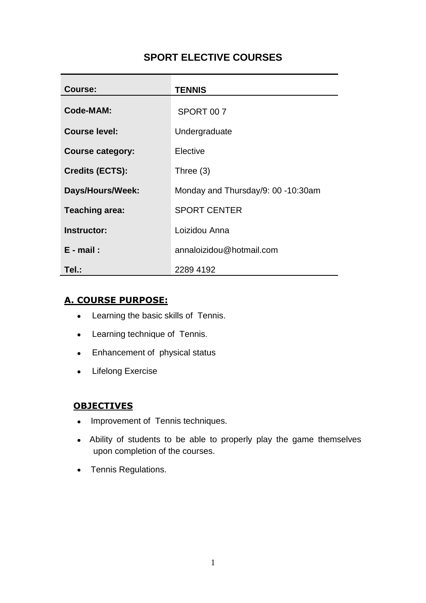# **SPORT ELECTIVE COURSES**

| Course:                 | <b>TENNIS</b>                      |
|-------------------------|------------------------------------|
| <b>Code-MAM:</b>        | SPORT 007                          |
| <b>Course level:</b>    | Undergraduate                      |
| <b>Course category:</b> | Elective                           |
| <b>Credits (ECTS):</b>  | Three $(3)$                        |
| Days/Hours/Week:        | Monday and Thursday/9: 00 -10:30am |
| <b>Teaching area:</b>   | <b>SPORT CENTER</b>                |
| Instructor:             | Loizidou Anna                      |
| $E - mail:$             | annaloizidou@hotmail.com           |
| Tel.:                   | 2289 4192                          |

### **A. COURSE PURPOSE:**

- Learning the basic skills of Tennis.
- Learning technique of Tennis.
- Enhancement of physical status
- Lifelong Exercise

#### **OBJECTIVES**

- Improvement of Tennis techniques.
- Ability of students to be able to properly play the game themselves upon completion of the courses.
- Tennis Regulations.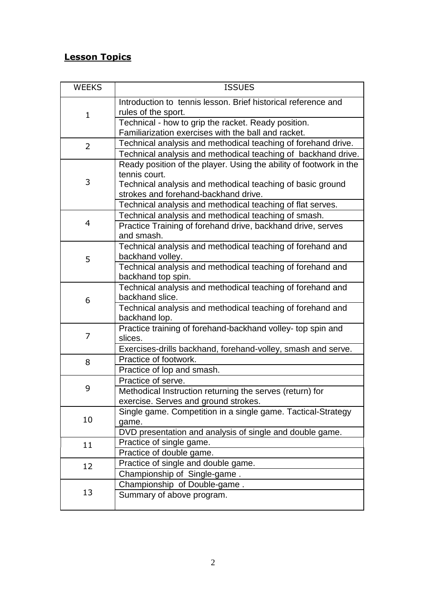# **Lesson Topics**

| <b>WEEKS</b>                                                  | <b>ISSUES</b>                                                                                              |
|---------------------------------------------------------------|------------------------------------------------------------------------------------------------------------|
| $\mathbf{1}$                                                  | Introduction to tennis lesson. Brief historical reference and<br>rules of the sport.                       |
|                                                               | Technical - how to grip the racket. Ready position.<br>Familiarization exercises with the ball and racket. |
| 2                                                             | Technical analysis and methodical teaching of forehand drive.                                              |
| Technical analysis and methodical teaching of backhand drive. |                                                                                                            |
|                                                               | Ready position of the player. Using the ability of footwork in the                                         |
| 3                                                             | tennis court.                                                                                              |
|                                                               | Technical analysis and methodical teaching of basic ground                                                 |
|                                                               | strokes and forehand-backhand drive.                                                                       |
|                                                               | Technical analysis and methodical teaching of flat serves.                                                 |
| $\overline{4}$                                                | Technical analysis and methodical teaching of smash.                                                       |
|                                                               | Practice Training of forehand drive, backhand drive, serves<br>and smash.                                  |
|                                                               | Technical analysis and methodical teaching of forehand and                                                 |
| 5                                                             | backhand volley.                                                                                           |
|                                                               | Technical analysis and methodical teaching of forehand and                                                 |
|                                                               | backhand top spin.                                                                                         |
| 6                                                             | Technical analysis and methodical teaching of forehand and<br>backhand slice.                              |
|                                                               | Technical analysis and methodical teaching of forehand and<br>backhand lop.                                |
| Practice training of forehand-backhand volley- top spin and   |                                                                                                            |
| 7                                                             | slices.                                                                                                    |
|                                                               | Exercises-drills backhand, forehand-volley, smash and serve.                                               |
| 8                                                             | Practice of footwork.                                                                                      |
|                                                               | Practice of lop and smash.                                                                                 |
| 9                                                             | Practice of serve.                                                                                         |
|                                                               | Methodical Instruction returning the serves (return) for                                                   |
|                                                               | exercise. Serves and ground strokes.                                                                       |
| 10                                                            | Single game. Competition in a single game. Tactical-Strategy                                               |
|                                                               | game.                                                                                                      |
|                                                               | DVD presentation and analysis of single and double game.                                                   |
| 11                                                            | Practice of single game.                                                                                   |
|                                                               | Practice of double game.                                                                                   |
| 12                                                            | Practice of single and double game.                                                                        |
|                                                               | Championship of Single-game.                                                                               |
| 13                                                            | Championship of Double-game.                                                                               |
|                                                               | Summary of above program.                                                                                  |
|                                                               |                                                                                                            |